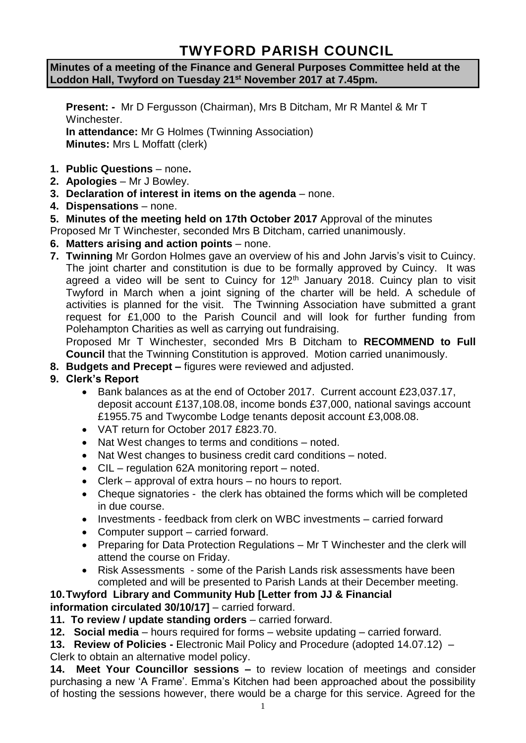# **TWYFORD PARISH COUNCIL**

**Minutes of a meeting of the Finance and General Purposes Committee held at the Loddon Hall, Twyford on Tuesday 21st November 2017 at 7.45pm.**

**Present: -** Mr D Fergusson (Chairman), Mrs B Ditcham, Mr R Mantel & Mr T Winchester. **In attendance:** Mr G Holmes (Twinning Association) **Minutes:** Mrs L Moffatt (clerk)

- **1. Public Questions** none**.**
- **2. Apologies** Mr J Bowley.
- **3. Declaration of interest in items on the agenda**  none.
- **4. Dispensations**  none.
- **5. Minutes of the meeting held on 17th October 2017** Approval of the minutes
- Proposed Mr T Winchester, seconded Mrs B Ditcham, carried unanimously.
- **6. Matters arising and action points** none.
- **7. Twinning** Mr Gordon Holmes gave an overview of his and John Jarvis's visit to Cuincy. The joint charter and constitution is due to be formally approved by Cuincy. It was agreed a video will be sent to Cuincy for  $12<sup>th</sup>$  January 2018. Cuincy plan to visit Twyford in March when a joint signing of the charter will be held. A schedule of activities is planned for the visit. The Twinning Association have submitted a grant request for £1,000 to the Parish Council and will look for further funding from Polehampton Charities as well as carrying out fundraising.

Proposed Mr T Winchester, seconded Mrs B Ditcham to **RECOMMEND to Full Council** that the Twinning Constitution is approved. Motion carried unanimously.

- **8. Budgets and Precept –** figures were reviewed and adjusted.
- **9. Clerk's Report**
	- Bank balances as at the end of October 2017. Current account £23,037.17, deposit account £137,108.08, income bonds £37,000, national savings account £1955.75 and Twycombe Lodge tenants deposit account £3,008.08.
	- VAT return for October 2017 £823.70.
	- Nat West changes to terms and conditions noted.
	- Nat West changes to business credit card conditions noted.
	- CIL regulation 62A monitoring report noted.
	- Clerk approval of extra hours no hours to report.
	- Cheque signatories the clerk has obtained the forms which will be completed in due course.
	- Investments feedback from clerk on WBC investments carried forward
	- Computer support carried forward.
	- Preparing for Data Protection Regulations Mr T Winchester and the clerk will attend the course on Friday.
	- Risk Assessments some of the Parish Lands risk assessments have been completed and will be presented to Parish Lands at their December meeting.

#### **10.Twyford Library and Community Hub [Letter from JJ & Financial information circulated 30/10/17]** – carried forward.

**11. To review / update standing orders** – carried forward.

**12. Social media** – hours required for forms – website updating – carried forward.

**13. Review of Policies -** Electronic Mail Policy and Procedure (adopted 14.07.12) – Clerk to obtain an alternative model policy.

**14. Meet Your Councillor sessions –** to review location of meetings and consider purchasing a new 'A Frame'. Emma's Kitchen had been approached about the possibility of hosting the sessions however, there would be a charge for this service. Agreed for the